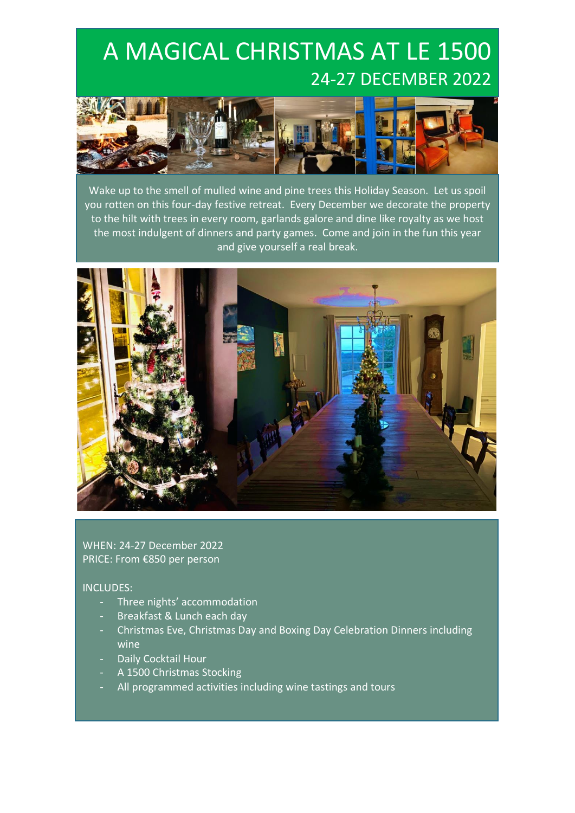## A MAGICAL CHRISTMAS AT LE 1500 24-27 DECEMBER 2022



Wake up to the smell of mulled wine and pine trees this Holiday Season. Let us spoil you rotten on this four-day festive retreat. Every December we decorate the property to the hilt with trees in every room, garlands galore and dine like royalty as we host the most indulgent of dinners and party games. Come and join in the fun this year and give yourself a real break.



WHEN: 24-27 December 2022 PRICE: From €850 per person

#### INCLUDES:

- Three nights' accommodation
- Breakfast & Lunch each day
- Christmas Eve, Christmas Day and Boxing Day Celebration Dinners including wine
- Daily Cocktail Hour
- A 1500 Christmas Stocking
- All programmed activities including wine tastings and tours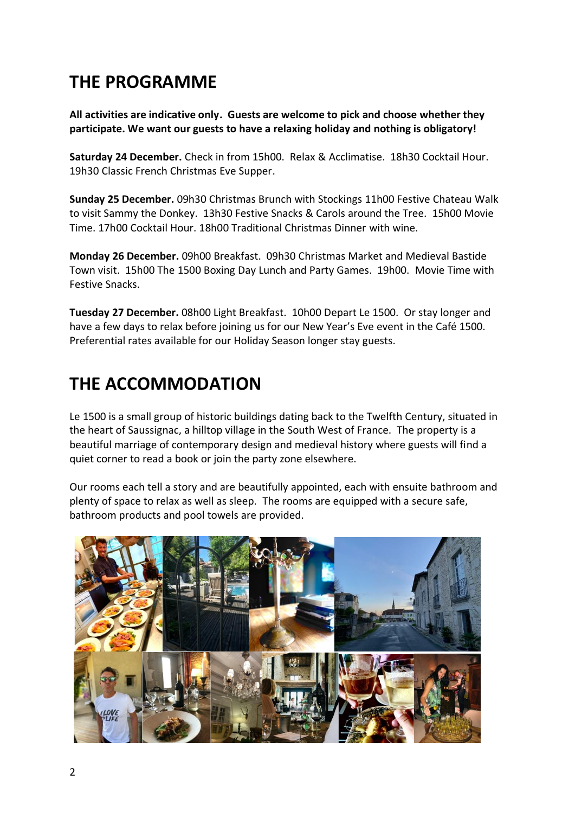### **THE PROGRAMME**

**All activities are indicative only. Guests are welcome to pick and choose whether they participate. We want our guests to have a relaxing holiday and nothing is obligatory!**

**Saturday 24 December.** Check in from 15h00. Relax & Acclimatise. 18h30 Cocktail Hour. 19h30 Classic French Christmas Eve Supper.

**Sunday 25 December.** 09h30 Christmas Brunch with Stockings 11h00 Festive Chateau Walk to visit Sammy the Donkey. 13h30 Festive Snacks & Carols around the Tree. 15h00 Movie Time. 17h00 Cocktail Hour. 18h00 Traditional Christmas Dinner with wine.

**Monday 26 December.** 09h00 Breakfast. 09h30 Christmas Market and Medieval Bastide Town visit. 15h00 The 1500 Boxing Day Lunch and Party Games. 19h00. Movie Time with Festive Snacks.

**Tuesday 27 December.** 08h00 Light Breakfast. 10h00 Depart Le 1500. Or stay longer and have a few days to relax before joining us for our New Year's Eve event in the Café 1500. Preferential rates available for our Holiday Season longer stay guests.

#### **THE ACCOMMODATION**

Le 1500 is a small group of historic buildings dating back to the Twelfth Century, situated in the heart of Saussignac, a hilltop village in the South West of France. The property is a beautiful marriage of contemporary design and medieval history where guests will find a quiet corner to read a book or join the party zone elsewhere.

Our rooms each tell a story and are beautifully appointed, each with ensuite bathroom and plenty of space to relax as well as sleep. The rooms are equipped with a secure safe, bathroom products and pool towels are provided.